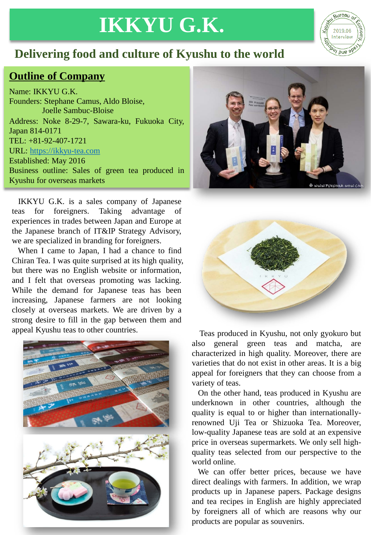## **IKKYU G.K.**



## **Outline of Company**

Name: IKKYU G.K. Founders: Stephane Camus, Aldo Bloise, Joelle Sambuc-Bloise Address: Noke 8-29-7, Sawara-ku, Fukuoka City, Japan 814-0171 TEL: +81-92-407-1721 URL: [https://ikkyu-tea.com](https://ikkyu-tea.com/) Established: May 2016 Business outline: Sales of green tea produced in Kyushu for overseas markets

IKKYU G.K. is a sales company of Japanese teas for foreigners. Taking advantage of experiences in trades between Japan and Europe at the Japanese branch of IT&IP Strategy Advisory, we are specialized in branding for foreigners.

When I came to Japan, I had a chance to find Chiran Tea. I was quite surprised at its high quality, but there was no English website or information, and I felt that overseas promoting was lacking. While the demand for Japanese teas has been increasing, Japanese farmers are not looking closely at overseas markets. We are driven by a strong desire to fill in the gap between them and







appeal Kyushu teas to other countries. Teas produced in Kyushu, not only gyokuro but also general green teas and matcha, are characterized in high quality. Moreover, there are varieties that do not exist in other areas. It is a big appeal for foreigners that they can choose from a variety of teas.

> On the other hand, teas produced in Kyushu are underknown in other countries, although the quality is equal to or higher than internationallyrenowned Uji Tea or Shizuoka Tea. Moreover, low-quality Japanese teas are sold at an expensive price in overseas supermarkets. We only sell highquality teas selected from our perspective to the world online.

> We can offer better prices, because we have direct dealings with farmers. In addition, we wrap products up in Japanese papers. Package designs and tea recipes in English are highly appreciated by foreigners all of which are reasons why our products are popular as souvenirs.